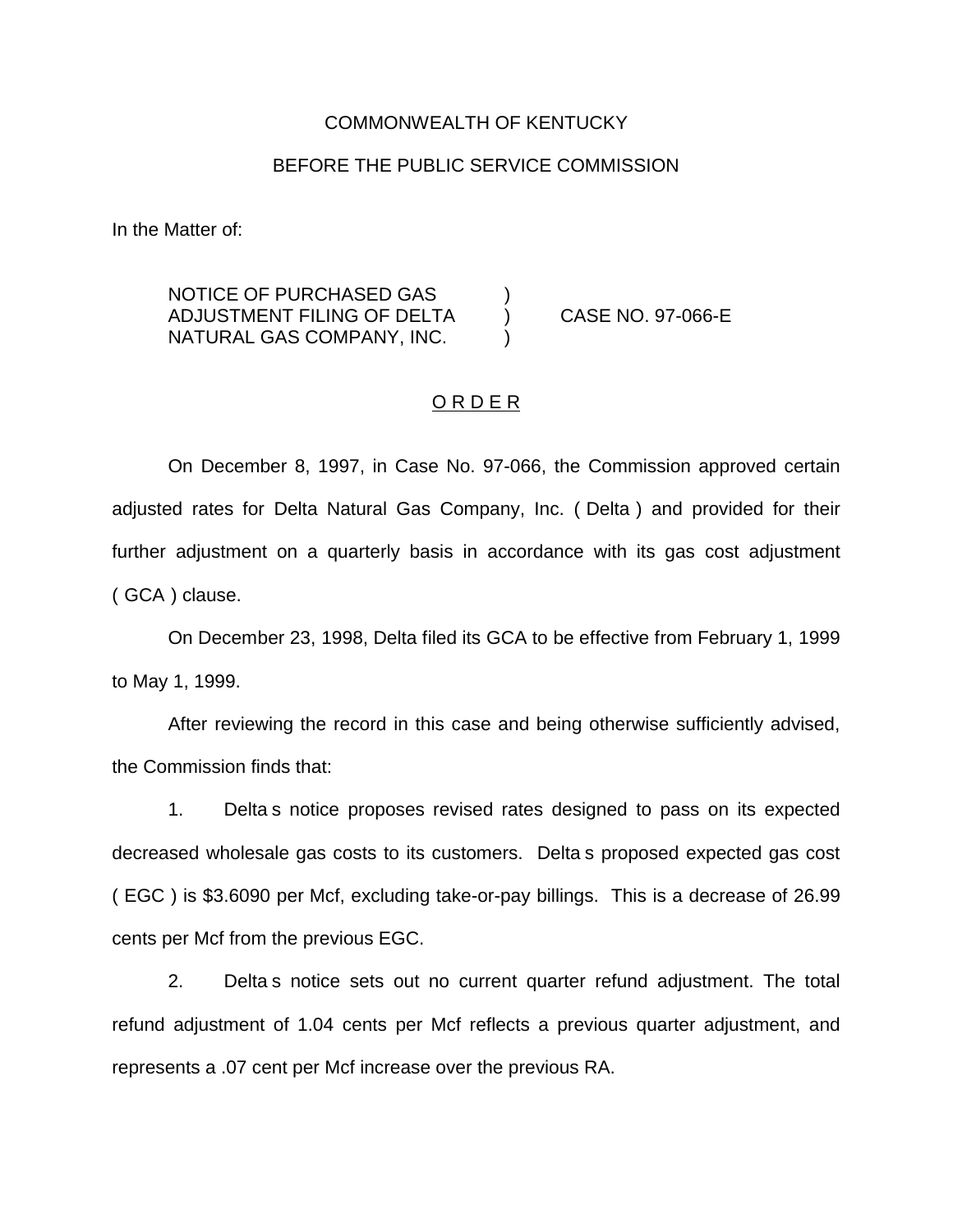### COMMONWEALTH OF KENTUCKY

### BEFORE THE PUBLIC SERVICE COMMISSION

In the Matter of:

NOTICE OF PURCHASED GAS ) ADJUSTMENT FILING OF DELTA ) CASE NO. 97-066-E NATURAL GAS COMPANY, INC. )

#### ORDER

On December 8, 1997, in Case No. 97-066, the Commission approved certain adjusted rates for Delta Natural Gas Company, Inc. ( Delta ) and provided for their further adjustment on a quarterly basis in accordance with its gas cost adjustment ( GCA ) clause.

On December 23, 1998, Delta filed its GCA to be effective from February 1, 1999 to May 1, 1999.

After reviewing the record in this case and being otherwise sufficiently advised, the Commission finds that:

1. Delta s notice proposes revised rates designed to pass on its expected decreased wholesale gas costs to its customers. Delta s proposed expected gas cost ( EGC ) is \$3.6090 per Mcf, excluding take-or-pay billings. This is a decrease of 26.99 cents per Mcf from the previous EGC.

2. Delta s notice sets out no current quarter refund adjustment. The total refund adjustment of 1.04 cents per Mcf reflects a previous quarter adjustment, and represents a .07 cent per Mcf increase over the previous RA.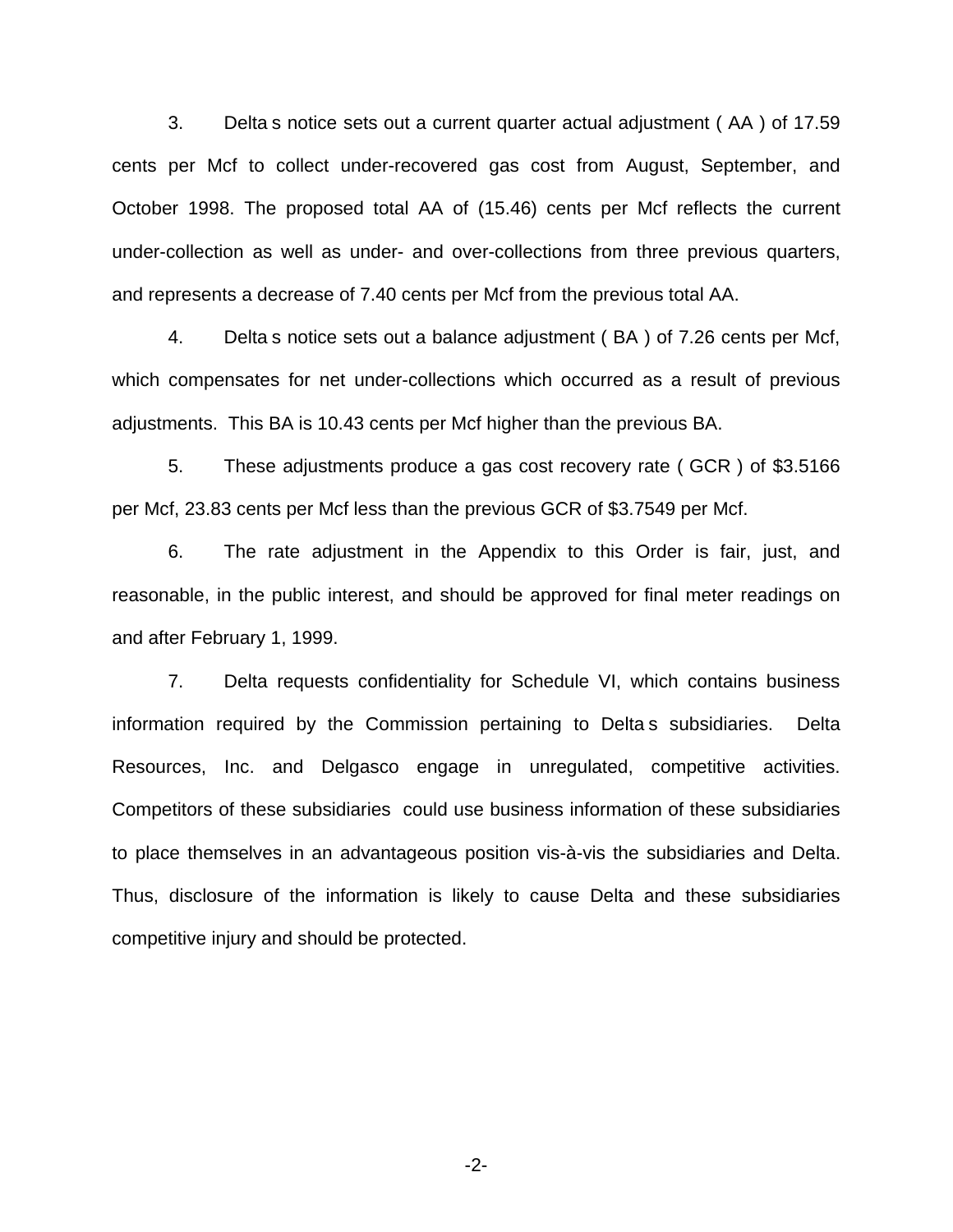3. Delta s notice sets out a current quarter actual adjustment ( AA ) of 17.59 cents per Mcf to collect under-recovered gas cost from August, September, and October 1998. The proposed total AA of (15.46) cents per Mcf reflects the current under-collection as well as under- and over-collections from three previous quarters, and represents a decrease of 7.40 cents per Mcf from the previous total AA.

4. Delta s notice sets out a balance adjustment ( BA ) of 7.26 cents per Mcf, which compensates for net under-collections which occurred as a result of previous adjustments. This BA is 10.43 cents per Mcf higher than the previous BA.

5. These adjustments produce a gas cost recovery rate ( GCR ) of \$3.5166 per Mcf, 23.83 cents per Mcf less than the previous GCR of \$3.7549 per Mcf.

6. The rate adjustment in the Appendix to this Order is fair, just, and reasonable, in the public interest, and should be approved for final meter readings on and after February 1, 1999.

7. Delta requests confidentiality for Schedule VI, which contains business information required by the Commission pertaining to Delta s subsidiaries. Delta Resources, Inc. and Delgasco engage in unregulated, competitive activities. Competitors of these subsidiaries could use business information of these subsidiaries to place themselves in an advantageous position vis-à-vis the subsidiaries and Delta. Thus, disclosure of the information is likely to cause Delta and these subsidiaries competitive injury and should be protected.

-2-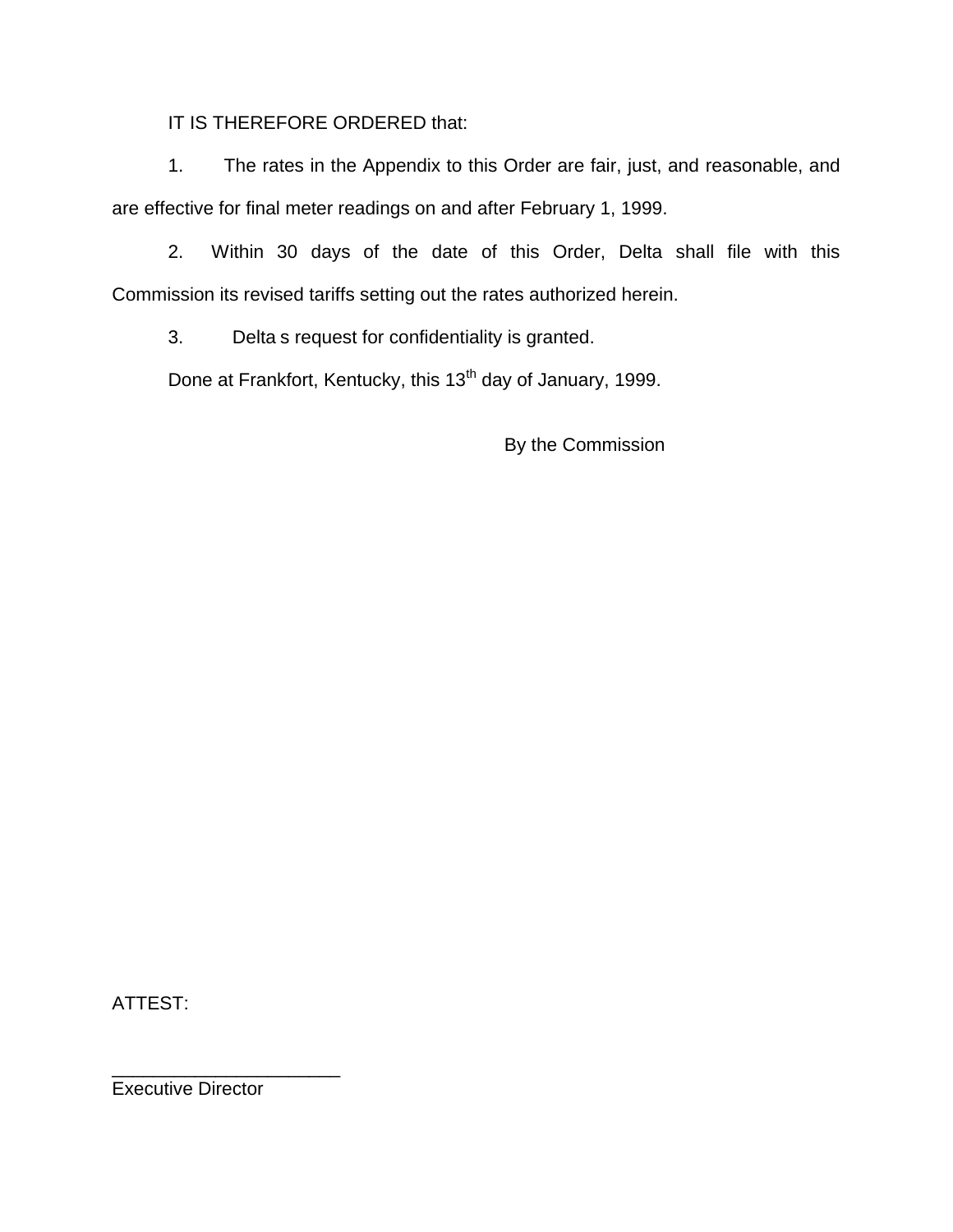IT IS THEREFORE ORDERED that:

1. The rates in the Appendix to this Order are fair, just, and reasonable, and are effective for final meter readings on and after February 1, 1999.

2. Within 30 days of the date of this Order, Delta shall file with this Commission its revised tariffs setting out the rates authorized herein.

3. Delta s request for confidentiality is granted.

Done at Frankfort, Kentucky, this 13<sup>th</sup> day of January, 1999.

By the Commission

ATTEST:

Executive Director

\_\_\_\_\_\_\_\_\_\_\_\_\_\_\_\_\_\_\_\_\_\_